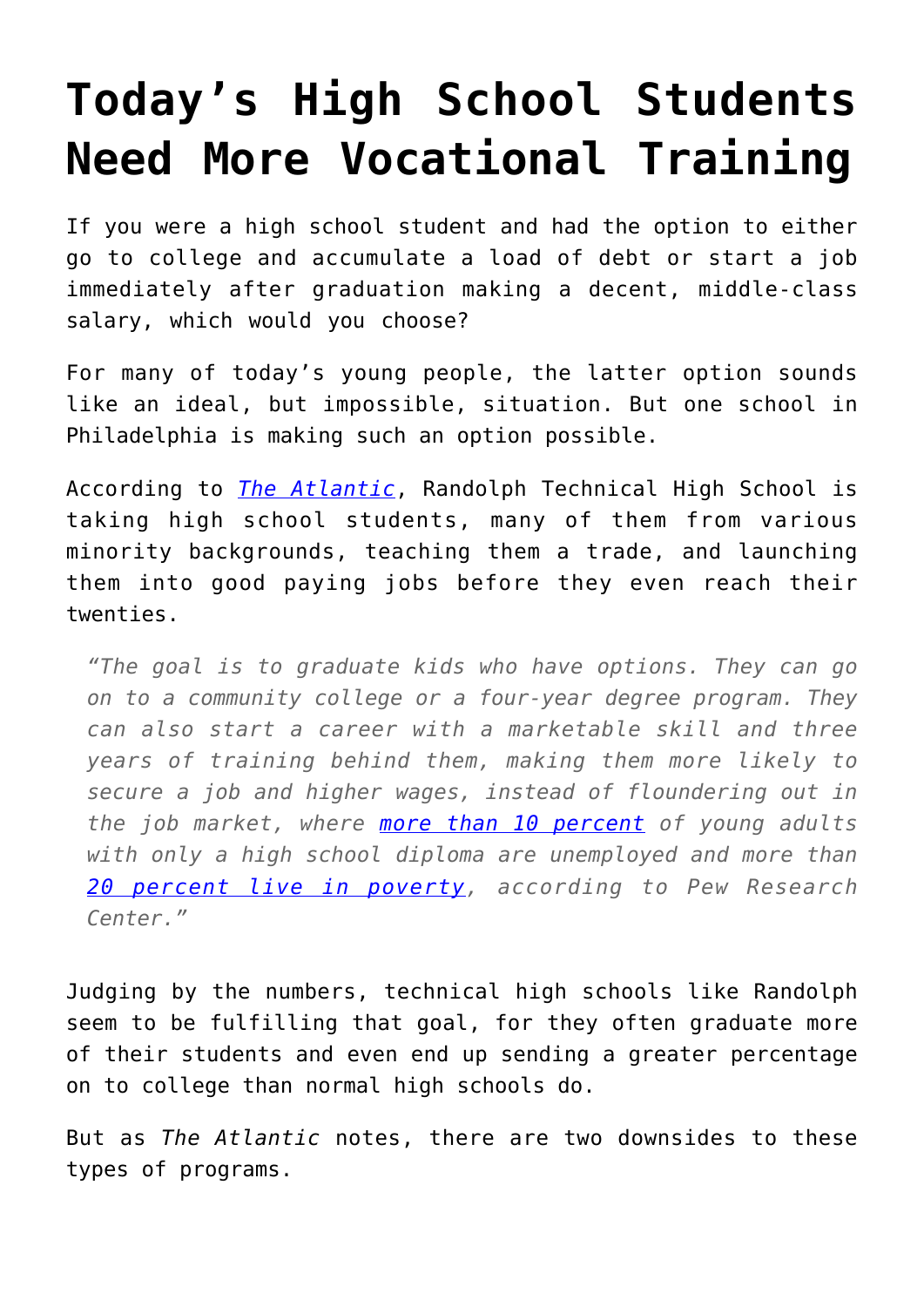## **[Today's High School Students](https://intellectualtakeout.org/2015/09/todays-high-school-students-need-more-vocational-training/) [Need More Vocational Training](https://intellectualtakeout.org/2015/09/todays-high-school-students-need-more-vocational-training/)**

If you were a high school student and had the option to either go to college and accumulate a load of debt or start a job immediately after graduation making a decent, middle-class salary, which would you choose?

For many of today's young people, the latter option sounds like an ideal, but impossible, situation. But one school in Philadelphia is making such an option possible.

According to *[The Atlantic](http://www.theatlantic.com/business/archive/2015/09/vocational-education-high-school-philadelphia/407212/)*, Randolph Technical High School is taking high school students, many of them from various minority backgrounds, teaching them a trade, and launching them into good paying jobs before they even reach their twenties.

*"The goal is to graduate kids who have options. They can go on to a community college or a four-year degree program. They can also start a career with a marketable skill and three years of training behind them, making them more likely to secure a job and higher wages, instead of floundering out in the job market, where [more than 10 percent](http://www.pewsocialtrends.org/2014/02/11/the-rising-cost-of-not-going-to-college/) of young adults with only a high school diploma are unemployed and more than [20 percent live in poverty](http://www.pewsocialtrends.org/2014/02/11/the-rising-cost-of-not-going-to-college/), according to Pew Research Center."*

Judging by the numbers, technical high schools like Randolph seem to be fulfilling that goal, for they often graduate more of their students and even end up sending a greater percentage on to college than normal high schools do.

But as *The Atlantic* notes, there are two downsides to these types of programs.